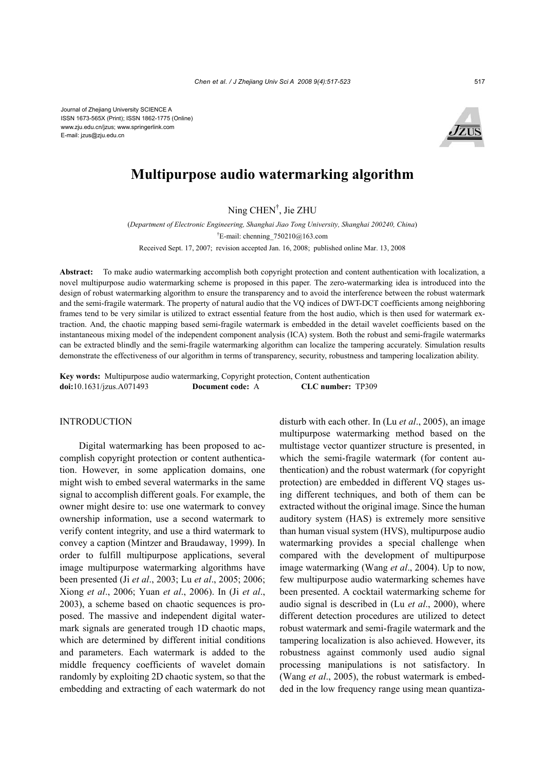

# **Multipurpose audio watermarking algorithm**

Ning CHEN† , Jie ZHU

(*Department of Electronic Engineering, Shanghai Jiao Tong University, Shanghai 200240, China*) † E-mail: chenning\_750210@163.com Received Sept. 17, 2007; revision accepted Jan. 16, 2008; published online Mar. 13, 2008

**Abstract:** To make audio watermarking accomplish both copyright protection and content authentication with localization, a novel multipurpose audio watermarking scheme is proposed in this paper. The zero-watermarking idea is introduced into the design of robust watermarking algorithm to ensure the transparency and to avoid the interference between the robust watermark and the semi-fragile watermark. The property of natural audio that the VQ indices of DWT-DCT coefficients among neighboring frames tend to be very similar is utilized to extract essential feature from the host audio, which is then used for watermark extraction. And, the chaotic mapping based semi-fragile watermark is embedded in the detail wavelet coefficients based on the instantaneous mixing model of the independent component analysis (ICA) system. Both the robust and semi-fragile watermarks can be extracted blindly and the semi-fragile watermarking algorithm can localize the tampering accurately. Simulation results demonstrate the effectiveness of our algorithm in terms of transparency, security, robustness and tampering localization ability.

**Key words:** Multipurpose audio watermarking, Copyright protection, Content authentication **doi:**10.1631/jzus.A071493 **Document code:** A **CLC number:** TP309

# INTRODUCTION

Digital watermarking has been proposed to accomplish copyright protection or content authentication. However, in some application domains, one might wish to embed several watermarks in the same signal to accomplish different goals. For example, the owner might desire to: use one watermark to convey ownership information, use a second watermark to verify content integrity, and use a third watermark to convey a caption (Mintzer and Braudaway, 1999). In order to fulfill multipurpose applications, several image multipurpose watermarking algorithms have been presented (Ji *et al*., 2003; Lu *et al*., 2005; 2006; Xiong *et al*., 2006; Yuan *et al*., 2006). In (Ji *et al*., 2003), a scheme based on chaotic sequences is proposed. The massive and independent digital watermark signals are generated trough 1D chaotic maps, which are determined by different initial conditions and parameters. Each watermark is added to the middle frequency coefficients of wavelet domain randomly by exploiting 2D chaotic system, so that the embedding and extracting of each watermark do not disturb with each other. In (Lu *et al*., 2005), an image multipurpose watermarking method based on the multistage vector quantizer structure is presented, in which the semi-fragile watermark (for content authentication) and the robust watermark (for copyright protection) are embedded in different VQ stages using different techniques, and both of them can be extracted without the original image. Since the human auditory system (HAS) is extremely more sensitive than human visual system (HVS), multipurpose audio watermarking provides a special challenge when compared with the development of multipurpose image watermarking (Wang *et al*., 2004). Up to now, few multipurpose audio watermarking schemes have been presented. A cocktail watermarking scheme for audio signal is described in (Lu *et al*., 2000), where different detection procedures are utilized to detect robust watermark and semi-fragile watermark and the tampering localization is also achieved. However, its robustness against commonly used audio signal processing manipulations is not satisfactory. In (Wang *et al*., 2005), the robust watermark is embedded in the low frequency range using mean quantiza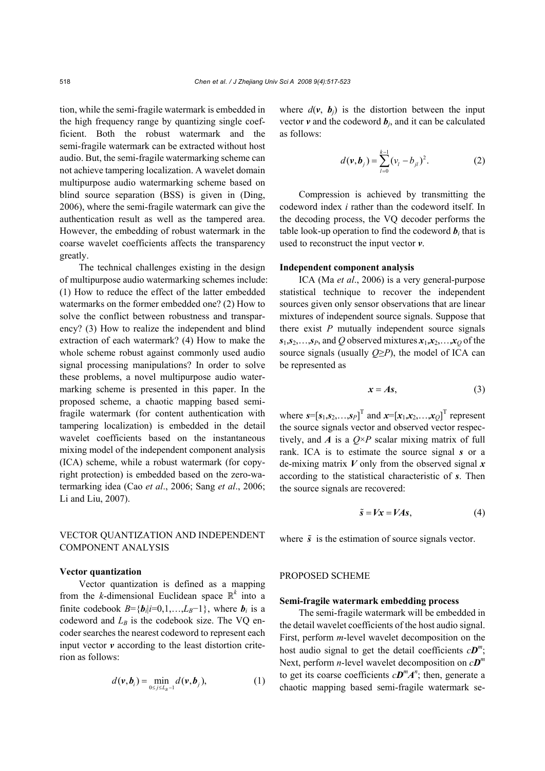tion, while the semi-fragile watermark is embedded in the high frequency range by quantizing single coefficient. Both the robust watermark and the semi-fragile watermark can be extracted without host audio. But, the semi-fragile watermarking scheme can not achieve tampering localization. A wavelet domain multipurpose audio watermarking scheme based on blind source separation (BSS) is given in (Ding, 2006), where the semi-fragile watermark can give the authentication result as well as the tampered area. However, the embedding of robust watermark in the coarse wavelet coefficients affects the transparency greatly.

The technical challenges existing in the design of multipurpose audio watermarking schemes include: (1) How to reduce the effect of the latter embedded watermarks on the former embedded one? (2) How to solve the conflict between robustness and transparency? (3) How to realize the independent and blind extraction of each watermark? (4) How to make the whole scheme robust against commonly used audio signal processing manipulations? In order to solve these problems, a novel multipurpose audio watermarking scheme is presented in this paper. In the proposed scheme, a chaotic mapping based semifragile watermark (for content authentication with tampering localization) is embedded in the detail wavelet coefficients based on the instantaneous mixing model of the independent component analysis (ICA) scheme, while a robust watermark (for copyright protection) is embedded based on the zero-watermarking idea (Cao *et al*., 2006; Sang *et al*., 2006; Li and Liu, 2007).

# VECTOR QUANTIZATION AND INDEPENDENT COMPONENT ANALYSIS

#### **Vector quantization**

Vector quantization is defined as a mapping from the *k*-dimensional Euclidean space  $\mathbb{R}^k$  into a finite codebook  $B = \{b_i | i=0,1,...,L_B-1\}$ , where  $b_i$  is a codeword and  $L_B$  is the codebook size. The VQ encoder searches the nearest codeword to represent each input vector *v* according to the least distortion criterion as follows:

$$
d(\mathbf{v}, \mathbf{b}_i) = \min_{0 \le j \le L_B - 1} d(\mathbf{v}, \mathbf{b}_j), \tag{1}
$$

where  $d(v, b_i)$  is the distortion between the input vector  $v$  and the codeword  $b_j$ , and it can be calculated as follows:

$$
d(\mathbf{v}, \mathbf{b}_j) = \sum_{l=0}^{k-1} (v_l - b_{jl})^2.
$$
 (2)

Compression is achieved by transmitting the codeword index *i* rather than the codeword itself. In the decoding process, the VQ decoder performs the table look-up operation to find the codeword  $\boldsymbol{b}_i$  that is used to reconstruct the input vector *v*.

# **Independent component analysis**

ICA (Ma *et al*., 2006) is a very general-purpose statistical technique to recover the independent sources given only sensor observations that are linear mixtures of independent source signals. Suppose that there exist  $P$  mutually independent source signals  $s_1, s_2, \ldots, s_p$ , and *Q* observed mixtures  $x_1, x_2, \ldots, x_Q$  of the source signals (usually  $Q \geq P$ ), the model of ICA can be represented as

$$
x = As,\t(3)
$$

where  $\mathbf{s} = [\mathbf{s}_1, \mathbf{s}_2, \dots, \mathbf{s}_P]^T$  and  $\mathbf{x} = [\mathbf{x}_1, \mathbf{x}_2, \dots, \mathbf{x}_Q]^T$  represent the source signals vector and observed vector respectively, and *A* is a  $Q \times P$  scalar mixing matrix of full rank. ICA is to estimate the source signal *s* or a de-mixing matrix *V* only from the observed signal *x* according to the statistical characteristic of *s*. Then the source signals are recovered:

$$
\tilde{s} = Vx = VAs,\tag{4}
$$

where  $\tilde{s}$  is the estimation of source signals vector.

# PROPOSED SCHEME

#### **Semi-fragile watermark embedding process**

The semi-fragile watermark will be embedded in the detail wavelet coefficients of the host audio signal. First, perform *m*-level wavelet decomposition on the host audio signal to get the detail coefficients  $c\mathbf{D}^m$ ; Next, perform *n*-level wavelet decomposition on *cD<sup>m</sup>* to get its coarse coefficients  $c\mathbf{D}^m\mathbf{A}^n$ ; then, generate a chaotic mapping based semi-fragile watermark se-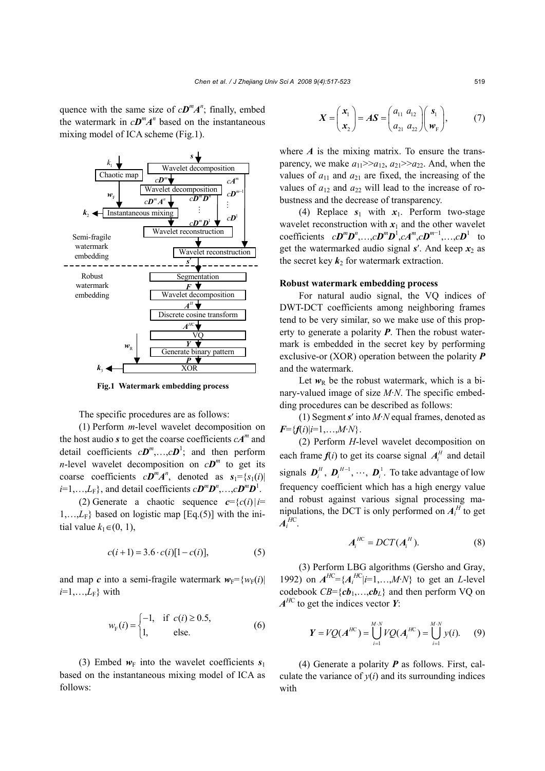quence with the same size of  $cD^{m}A^{n}$ ; finally, embed the watermark in  $c\mathbf{D}^m\mathbf{A}^n$  based on the instantaneous mixing model of ICA scheme (Fig.1).



**Fig.1 Watermark embedding process**

The specific procedures are as follows:

(1) Perform *m*-level wavelet decomposition on the host audio *s* to get the coarse coefficients  $cA^m$  and detail coefficients  $c\mathbf{D}^m$ ,..., $c\mathbf{D}^1$ ; and then perform *n*-level wavelet decomposition on  $c\mathbf{D}^m$  to get its coarse coefficients  $cD^m A^n$ , denoted as  $s_1 = \{s_1(i) |$  $i=1,\ldots,L_{\rm F}$ , and detail coefficients  $c\mathbf{D}^m\mathbf{D}^n,\ldots,c\mathbf{D}^m\mathbf{D}^1$ .

(2) Generate a chaotic sequence *c*={*c*(*i*)|*i*=  $1,...,L_F$ } based on logistic map [Eq.(5)] with the initial value  $k_1 ∈ (0, 1)$ ,

$$
c(i+1) = 3.6 \cdot c(i)[1 - c(i)], \tag{5}
$$

and map *c* into a semi-fragile watermark  $w_F = \{w_F(i) |$  $i=1,\ldots,L_F\}$  with

$$
w_{F}(i) = \begin{cases} -1, & \text{if } c(i) \ge 0.5, \\ 1, & \text{else.} \end{cases}
$$
 (6)

(3) Embed  $w_F$  into the wavelet coefficients  $s_1$ based on the instantaneous mixing model of ICA as follows:

$$
\boldsymbol{X} = \begin{pmatrix} \boldsymbol{x}_1 \\ \boldsymbol{x}_2 \end{pmatrix} = A\boldsymbol{S} = \begin{pmatrix} a_{11} & a_{12} \\ a_{21} & a_{22} \end{pmatrix} \begin{pmatrix} \boldsymbol{s}_1 \\ \boldsymbol{w}_F \end{pmatrix}, \qquad (7)
$$

where  $\vec{A}$  is the mixing matrix. To ensure the transparency, we make  $a_{11} \geq a_{12}, a_{21} \geq a_{22}$ . And, when the values of  $a_{11}$  and  $a_{21}$  are fixed, the increasing of the values of  $a_{12}$  and  $a_{22}$  will lead to the increase of robustness and the decrease of transparency.

(4) Replace  $s_1$  with  $x_1$ . Perform two-stage wavelet reconstruction with  $x_1$  and the other wavelet coefficients  $cD^mD^n$ ,..., $cD^mD^1$ , $cA^m$ , $cD^{m-1}$ ,..., $cD^1$  to get the watermarked audio signal  $s'$ . And keep  $x_2$  as the secret key  $k_2$  for watermark extraction.

#### **Robust watermark embedding process**

For natural audio signal, the VQ indices of DWT-DCT coefficients among neighboring frames tend to be very similar, so we make use of this property to generate a polarity *P*. Then the robust watermark is embedded in the secret key by performing exclusive-or (XOR) operation between the polarity *P* and the watermark.

Let  $w_R$  be the robust watermark, which is a binary-valued image of size *M*·*N*. The specific embedding procedures can be described as follows:

(1) Segment *s*′ into *M*·*N* equal frames, denoted as  $F = \{f(i)|i=1,...,M\cdot N\}.$ 

(2) Perform *H*-level wavelet decomposition on each frame  $f(i)$  to get its coarse signal  $A_i^H$  and detail signals  $\boldsymbol{D}_i^H$ ,  $\boldsymbol{D}_i^{H-1}$ ,  $\cdots$ ,  $\boldsymbol{D}_i^{\perp}$ . To take advantage of low frequency coefficient which has a high energy value and robust against various signal processing manipulations, the DCT is only performed on  $A_i^H$  to get  $A_i^{HC}$ .

$$
A_i^{HC} = DCT(A_i^H). \tag{8}
$$

(3) Perform LBG algorithms (Gersho and Gray, 1992) on  $A^{HC} = \{A_i^{HC} | i=1,...,M \cdot N\}$  to get an *L*-level codebook  $CB = \{cb_1, \ldots, cb_L\}$  and then perform VQ on  $A^{HC}$  to get the indices vector *Y*:

$$
Y = VQ(A^{HC}) = \bigcup_{i=1}^{M \cdot N} VQ(A_i^{HC}) = \bigcup_{i=1}^{M \cdot N} y(i). \qquad (9)
$$

(4) Generate a polarity *P* as follows. First, calculate the variance of  $y(i)$  and its surrounding indices with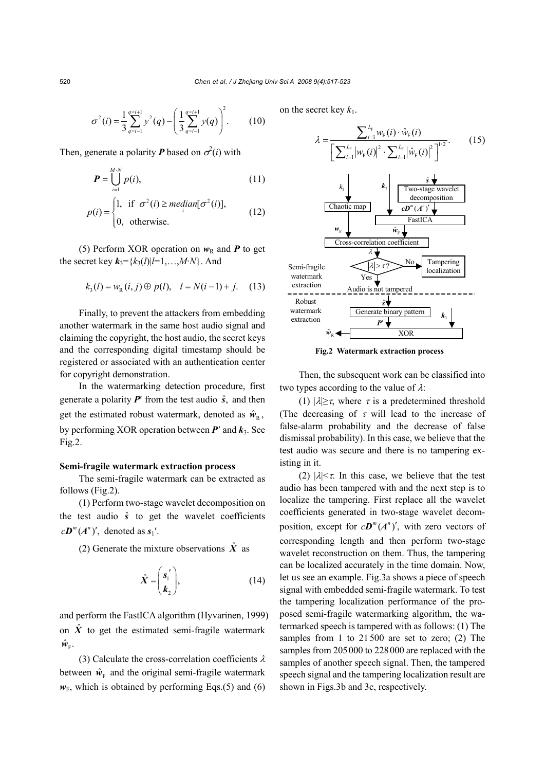$$
\sigma^{2}(i) = \frac{1}{3} \sum_{q=i-1}^{q=i+1} y^{2}(q) - \left(\frac{1}{3} \sum_{q=i-1}^{q=i+1} y(q)\right)^{2}.
$$
 (10)

Then, generate a polarity **P** based on  $\sigma^2(i)$  with

$$
\boldsymbol{P} = \bigcup_{i=1}^{M \cdot N} p(i), \tag{11}
$$

$$
p(i) = \begin{cases} 1, & \text{if } \sigma^2(i) \ge \text{median}[\sigma^2(i)], \\ 0, & \text{otherwise.} \end{cases}
$$
 (12)

(5) Perform XOR operation on  $w_R$  and **P** to get the secret key  $k_3 = \{k_3(l) | l = 1, ..., M \cdot N \}$ . And

$$
k_3(l) = w_R(i, j) \oplus p(l), \quad l = N(i-1) + j. \tag{13}
$$

Finally, to prevent the attackers from embedding another watermark in the same host audio signal and claiming the copyright, the host audio, the secret keys and the corresponding digital timestamp should be registered or associated with an authentication center for copyright demonstration.

In the watermarking detection procedure, first generate a polarity  $P'$  from the test audio  $\hat{s}$ , and then get the estimated robust watermark, denoted as  $\hat{w}_{R}$ , by performing XOR operation between  $P'$  and  $k_3$ . See Fig.2.

# **Semi-fragile watermark extraction process**

The semi-fragile watermark can be extracted as follows (Fig.2).

(1) Perform two-stage wavelet decomposition on the test audio  $\hat{s}$  to get the wavelet coefficients  $c\mathbf{D}^m(A^n)'$ , denoted as  $s_1'$ .

(2) Generate the mixture observations  $\hat{X}$  as

$$
\hat{X} = \begin{pmatrix} s_1' \\ k_2 \end{pmatrix},\tag{14}
$$

and perform the FastICA algorithm (Hyvarinen, 1999) on  $\hat{X}$  to get the estimated semi-fragile watermark  $\hat{w}_{\rm F}$ .

(3) Calculate the cross-correlation coefficients  $\lambda$ between  $\hat{w}_F$  and the original semi-fragile watermark  $w_F$ , which is obtained by performing Eqs.(5) and (6)

on the secret key  $k_1$ .



**Fig.2 Watermark extraction process** 

Then, the subsequent work can be classified into two types according to the value of  $\lambda$ :

(1)  $|\lambda| \geq \tau$ , where  $\tau$  is a predetermined threshold (The decreasing of  $\tau$  will lead to the increase of false-alarm probability and the decrease of false dismissal probability). In this case, we believe that the test audio was secure and there is no tampering existing in it.

(2)  $|\lambda| < \tau$ . In this case, we believe that the test audio has been tampered with and the next step is to localize the tampering. First replace all the wavelet coefficients generated in two-stage wavelet decomposition, except for  $c\mathbf{D}^m(A^n)'$ , with zero vectors of corresponding length and then perform two-stage wavelet reconstruction on them. Thus, the tampering can be localized accurately in the time domain. Now, let us see an example. Fig.3a shows a piece of speech signal with embedded semi-fragile watermark. To test the tampering localization performance of the proposed semi-fragile watermarking algorithm, the watermarked speech is tampered with as follows: (1) The samples from 1 to 21500 are set to zero; (2) The samples from 205000 to 228000 are replaced with the samples of another speech signal. Then, the tampered speech signal and the tampering localization result are shown in Figs.3b and 3c, respectively.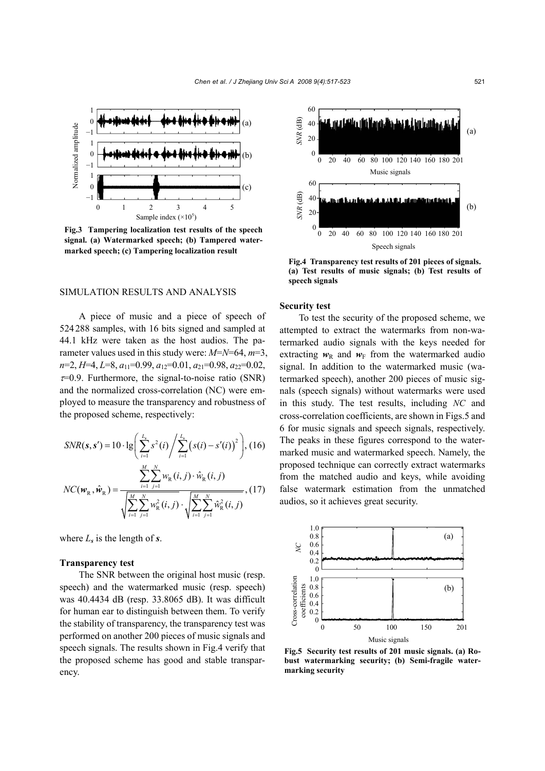

**Fig.3 Tampering localization test results of the speech signal. (a) Watermarked speech; (b) Tampered watermarked speech; (c) Tampering localization result** 

#### SIMULATION RESULTS AND ANALYSIS

A piece of music and a piece of speech of 524288 samples, with 16 bits signed and sampled at 44.1 kHz were taken as the host audios. The parameter values used in this study were: *M*=*N*=64, *m*=3, *n*=2, *H*=4, *L*=8, *a*11=0.99, *a*12=0.01, *a*21=0.98, *a*22=0.02,  $\tau$ =0.9. Furthermore, the signal-to-noise ratio (SNR) and the normalized cross-correlation (NC) were employed to measure the transparency and robustness of the proposed scheme, respectively:

$$
SNR(s, s') = 10 \cdot \lg \left( \sum_{i=1}^{L_s} s^2(i) / \sum_{i=1}^{L_s} (s(i) - s'(i))^2 \right), (16)
$$

$$
NC(w_R, \hat{w}_R) = \frac{\sum_{i=1}^{M} \sum_{j=1}^{N} w_R(i, j) \cdot \hat{w}_R(i, j)}{\sqrt{\sum_{i=1}^{M} \sum_{j=1}^{N} w_R^2(i, j)} \cdot \sqrt{\sum_{i=1}^{M} \sum_{j=1}^{N} \hat{w}_R^2(i, j)}}, (17)
$$

where  $L_s$  is the length of  $s$ .

#### **Transparency test**

The SNR between the original host music (resp. speech) and the watermarked music (resp. speech) was 40.4434 dB (resp. 33.8065 dB). It was difficult for human ear to distinguish between them. To verify the stability of transparency, the transparency test was performed on another 200 pieces of music signals and speech signals. The results shown in Fig.4 verify that the proposed scheme has good and stable transparency.



**Fig.4 Transparency test results of 201 pieces of signals. (a) Test results of music signals; (b) Test results of speech signals**

## **Security test**

To test the security of the proposed scheme, we attempted to extract the watermarks from non-watermarked audio signals with the keys needed for extracting  $w_R$  and  $w_F$  from the watermarked audio signal. In addition to the watermarked music (watermarked speech), another 200 pieces of music signals (speech signals) without watermarks were used in this study. The test results, including *NC* and cross-correlation coefficients, are shown in Figs.5 and 6 for music signals and speech signals, respectively. The peaks in these figures correspond to the watermarked music and watermarked speech. Namely, the proposed technique can correctly extract watermarks from the matched audio and keys, while avoiding false watermark estimation from the unmatched audios, so it achieves great security.



**Fig.5 Security test results of 201 music signals. (a) Robust watermarking security; (b) Semi-fragile watermarking security**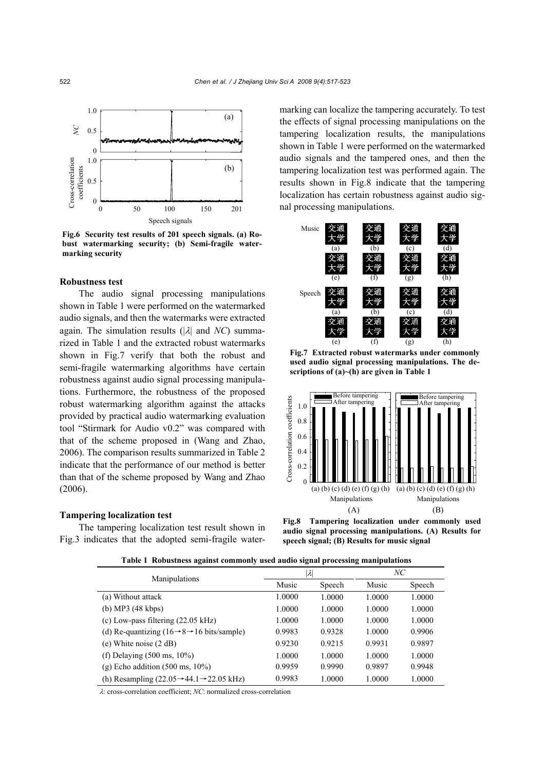

**Fig.6 Security test results of 201 speech signals. (a) Robust watermarking security; (b) Semi-fragile watermarking security**

# **Robustness test**

The audio signal processing manipulations shown in Table 1 were performed on the watermarked audio signals, and then the watermarks were extracted again. The simulation results (|λ| and *NC*) summarized in Table 1 and the extracted robust watermarks shown in Fig.7 verify that both the robust and semi-fragile watermarking algorithms have certain robustness against audio signal processing manipulations. Furthermore, the robustness of the proposed robust watermarking algorithm against the attacks provided by practical audio watermarking evaluation tool "Stirmark for Audio v0.2" was compared with that of the scheme proposed in (Wang and Zhao, 2006). The comparison results summarized in Table 2 indicate that the performance of our method is better than that of the scheme proposed by Wang and Zhao (2006).

## **Tampering localization test**

The tampering localization test result shown in Fig.3 indicates that the adopted semi-fragile watermarking can localize the tampering accurately. To test the effects of signal processing manipulations on the tampering localization results, the manipulations shown in Table 1 were performed on the watermarked audio signals and the tampered ones, and then the tampering localization test was performed again. The results shown in Fig.8 indicate that the tampering localization has certain robustness against audio sig-



**Fig.7 Extracted robust watermarks under commonly used audio signal processing manipulations. The descriptions of (a)~(h) are given in Table 1** 



**Fig.8 Tampering localization under commonly used audio signal processing manipulations. (A) Results for speech signal; (B) Results for music signal** 

**Table 1 Robustness against commonly used audio signal processing manipulations**

| -<br>$\cdot$                                                            | -           |        | -      |        |
|-------------------------------------------------------------------------|-------------|--------|--------|--------|
| Manipulations                                                           | $ \lambda $ |        | NС     |        |
|                                                                         | Music       | Speech | Music  | Speech |
| (a) Without attack                                                      | 1.0000      | 1.0000 | 1.0000 | 1.0000 |
| (b) MP3 (48 kbps)                                                       | 1.0000      | 1.0000 | 1.0000 | 1.0000 |
| (c) Low-pass filtering $(22.05 \text{ kHz})$                            | 1.0000      | 1.0000 | 1.0000 | 1.0000 |
| (d) Re-quantizing ( $16 \rightarrow 8 \rightarrow 16$ bits/sample)      | 0.9983      | 0.9328 | 1.0000 | 0.9906 |
| (e) White noise $(2 dB)$                                                | 0.9230      | 0.9215 | 0.9931 | 0.9897 |
| (f) Delaying $(500 \text{ ms}, 10\%)$                                   | 1.0000      | 1.0000 | 1.0000 | 1.0000 |
| $(g)$ Echo addition $(500 \text{ ms}, 10\%)$                            | 0.9959      | 0.9990 | 0.9897 | 0.9948 |
| (h) Resampling $(22.05 \rightarrow 44.1 \rightarrow 22.05 \text{ kHz})$ | 0.9983      | 1.0000 | 1.0000 | 1.0000 |

λ: cross-correlation coefficient; *NC*: normalized cross-correlation